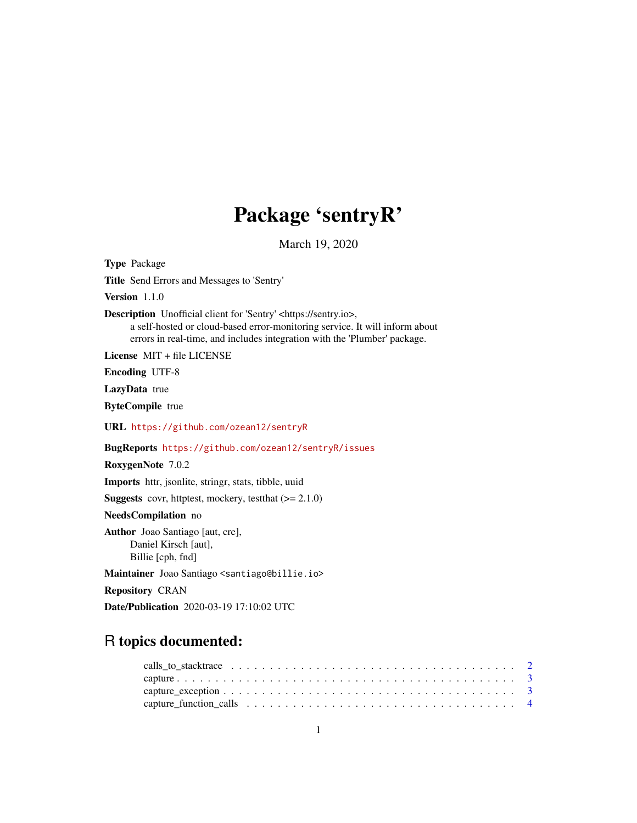# Package 'sentryR'

March 19, 2020

Type Package Title Send Errors and Messages to 'Sentry' Version 1.1.0 Description Unofficial client for 'Sentry' <https://sentry.io>, a self-hosted or cloud-based error-monitoring service. It will inform about errors in real-time, and includes integration with the 'Plumber' package. License MIT + file LICENSE Encoding UTF-8 LazyData true ByteCompile true URL <https://github.com/ozean12/sentryR> BugReports <https://github.com/ozean12/sentryR/issues> RoxygenNote 7.0.2 Imports httr, jsonlite, stringr, stats, tibble, uuid **Suggests** covr, httptest, mockery, test that  $(>= 2.1.0)$ NeedsCompilation no Author Joao Santiago [aut, cre], Daniel Kirsch [aut], Billie [cph, fnd] Maintainer Joao Santiago <santiago@billie.io> Repository CRAN Date/Publication 2020-03-19 17:10:02 UTC

# R topics documented: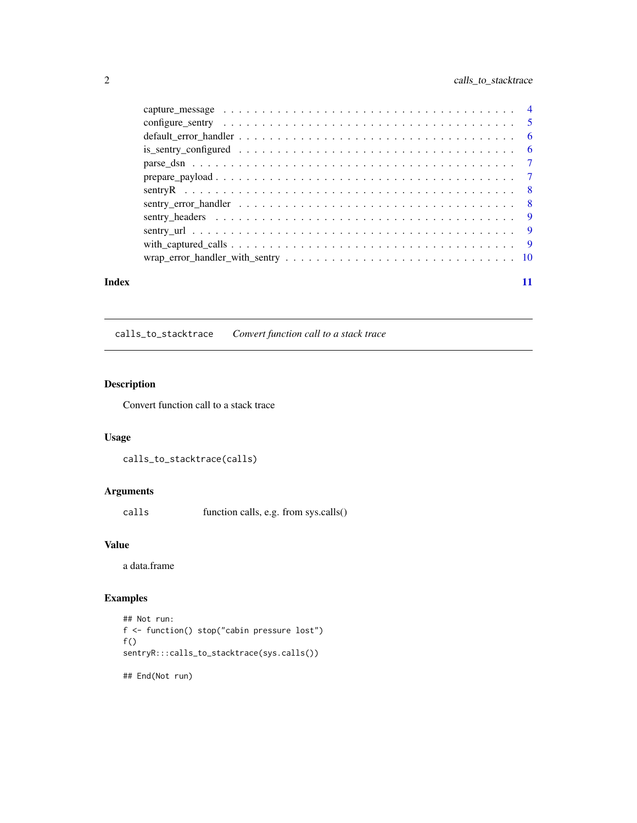# <span id="page-1-0"></span>2 calls\_to\_stacktrace

|       | $wrap_error\_handler\_with\_sentry \dots \dots \dots \dots \dots \dots \dots \dots \dots \dots \dots \dots \dots \dots \dots \dots \dots$ |  |
|-------|-------------------------------------------------------------------------------------------------------------------------------------------|--|
| Index |                                                                                                                                           |  |

calls\_to\_stacktrace *Convert function call to a stack trace*

# Description

Convert function call to a stack trace

#### Usage

calls\_to\_stacktrace(calls)

# Arguments

calls function calls, e.g. from sys.calls()

# Value

a data.frame

# Examples

```
## Not run:
f <- function() stop("cabin pressure lost")
f()sentryR:::calls_to_stacktrace(sys.calls())
## End(Not run)
```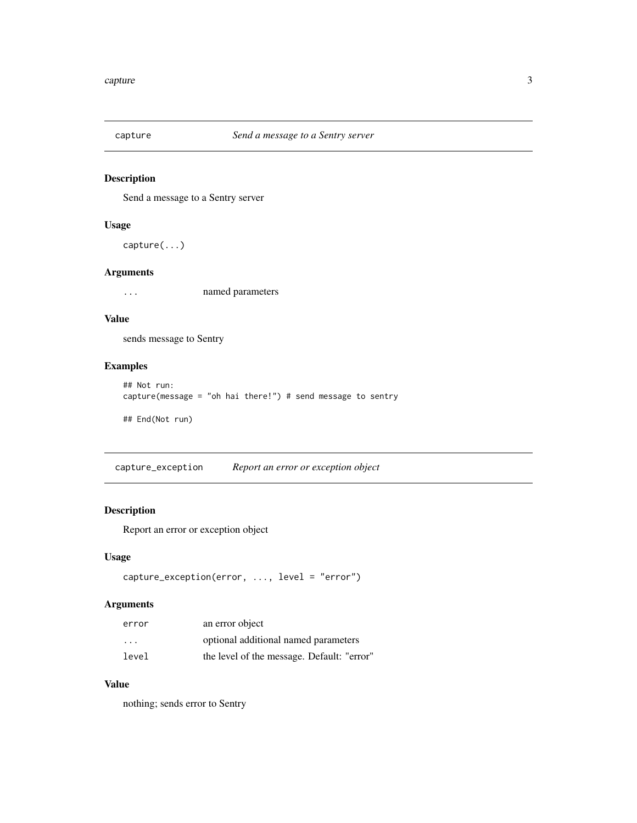<span id="page-2-0"></span>

# Description

Send a message to a Sentry server

# Usage

capture(...)

# Arguments

... named parameters

# Value

sends message to Sentry

# Examples

```
## Not run:
capture(message = "oh hai there!") # send message to sentry
## End(Not run)
```
capture\_exception *Report an error or exception object*

# Description

Report an error or exception object

#### Usage

```
capture_exception(error, ..., level = "error")
```
# Arguments

| error                   | an error object                            |
|-------------------------|--------------------------------------------|
| $\cdot$ $\cdot$ $\cdot$ | optional additional named parameters       |
| level                   | the level of the message. Default: "error" |

#### Value

nothing; sends error to Sentry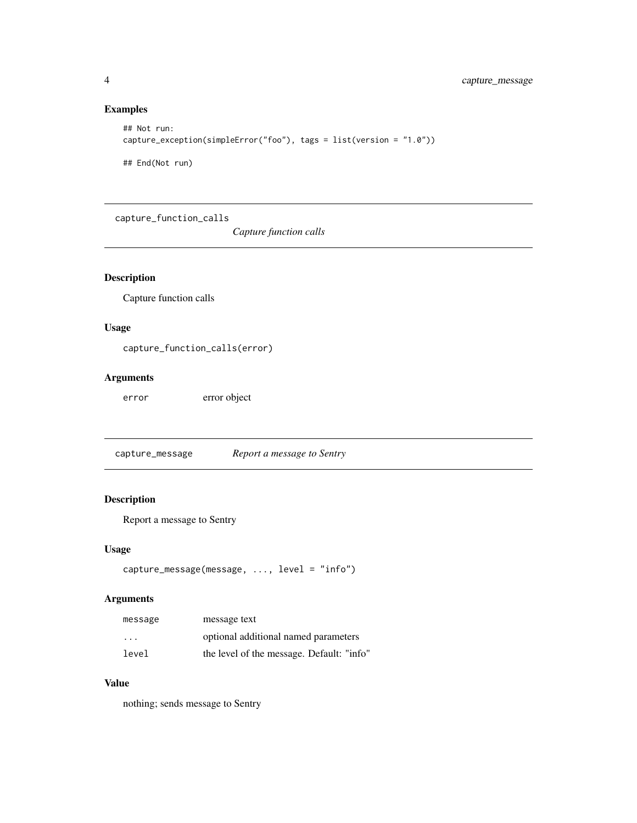# Examples

```
## Not run:
capture_exception(simpleError("foo"), tags = list(version = "1.0"))
## End(Not run)
```
capture\_function\_calls

*Capture function calls*

# Description

Capture function calls

# Usage

capture\_function\_calls(error)

# Arguments

error error object

capture\_message *Report a message to Sentry*

# Description

Report a message to Sentry

#### Usage

```
capture_message(message, ..., level = "info")
```
# Arguments

| message                 | message text                              |
|-------------------------|-------------------------------------------|
| $\cdot$ $\cdot$ $\cdot$ | optional additional named parameters      |
| level                   | the level of the message. Default: "info" |

#### Value

nothing; sends message to Sentry

<span id="page-3-0"></span>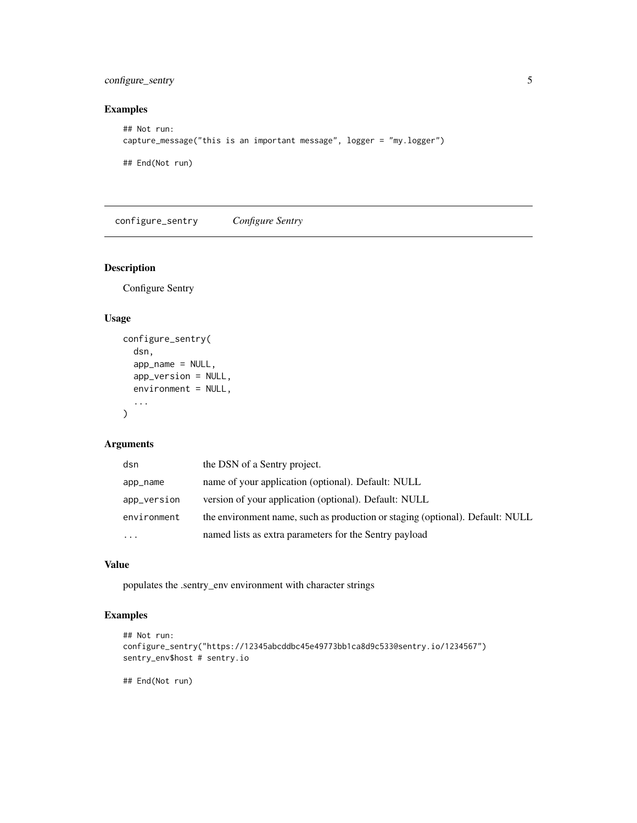# <span id="page-4-0"></span>configure\_sentry 5

# Examples

```
## Not run:
capture_message("this is an important message", logger = "my.logger")
## End(Not run)
```
configure\_sentry *Configure Sentry*

# Description

Configure Sentry

#### Usage

```
configure_sentry(
  dsn,
  app_name = NULL,app_version = NULL,
  environment = NULL,
  ...
\mathcal{L}
```
#### Arguments

| dsn         | the DSN of a Sentry project.                                                  |
|-------------|-------------------------------------------------------------------------------|
| app_name    | name of your application (optional). Default: NULL                            |
| app_version | version of your application (optional). Default: NULL                         |
| environment | the environment name, such as production or staging (optional). Default: NULL |
| $\cdots$    | named lists as extra parameters for the Sentry payload                        |

#### Value

populates the .sentry\_env environment with character strings

# Examples

```
## Not run:
configure_sentry("https://12345abcddbc45e49773bb1ca8d9c533@sentry.io/1234567")
sentry_env$host # sentry.io
```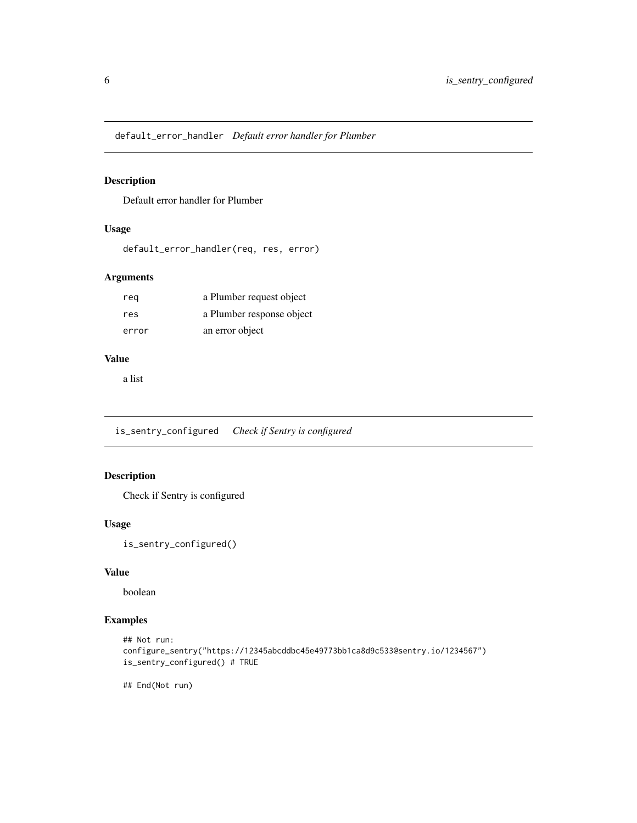<span id="page-5-0"></span>default\_error\_handler *Default error handler for Plumber*

# Description

Default error handler for Plumber

# Usage

```
default_error_handler(req, res, error)
```
# Arguments

| reg   | a Plumber request object  |
|-------|---------------------------|
| res   | a Plumber response object |
| error | an error object           |

#### Value

a list

is\_sentry\_configured *Check if Sentry is configured*

# Description

Check if Sentry is configured

#### Usage

is\_sentry\_configured()

# Value

boolean

# Examples

```
## Not run:
configure_sentry("https://12345abcddbc45e49773bb1ca8d9c533@sentry.io/1234567")
is_sentry_configured() # TRUE
```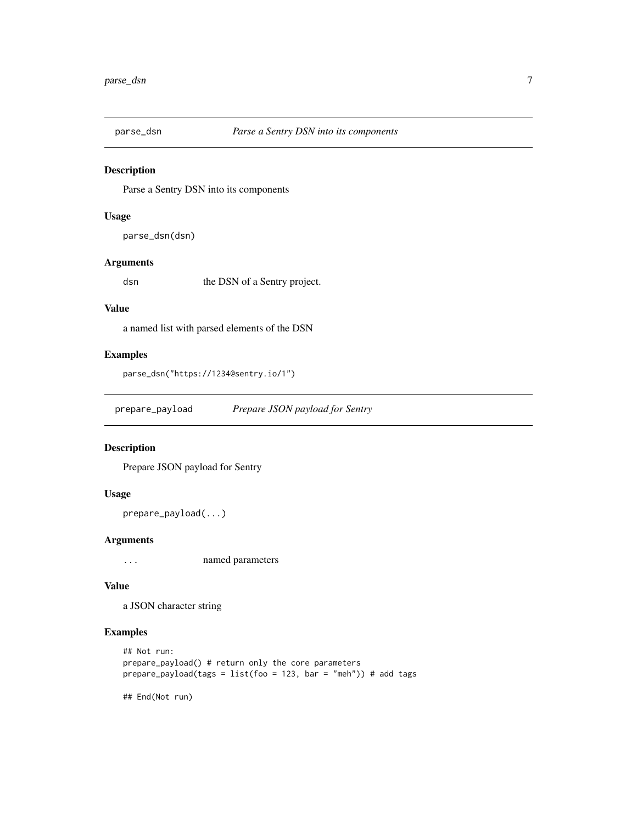<span id="page-6-0"></span>

#### Description

Parse a Sentry DSN into its components

#### Usage

parse\_dsn(dsn)

# Arguments

dsn the DSN of a Sentry project.

# Value

a named list with parsed elements of the DSN

# Examples

```
parse_dsn("https://1234@sentry.io/1")
```
prepare\_payload *Prepare JSON payload for Sentry*

#### Description

Prepare JSON payload for Sentry

#### Usage

```
prepare_payload(...)
```
#### Arguments

... named parameters

#### Value

a JSON character string

# Examples

```
## Not run:
prepare_payload() # return only the core parameters
prepare\_payload(tags = list(foo = 123, bar = "meh")) # add tags
```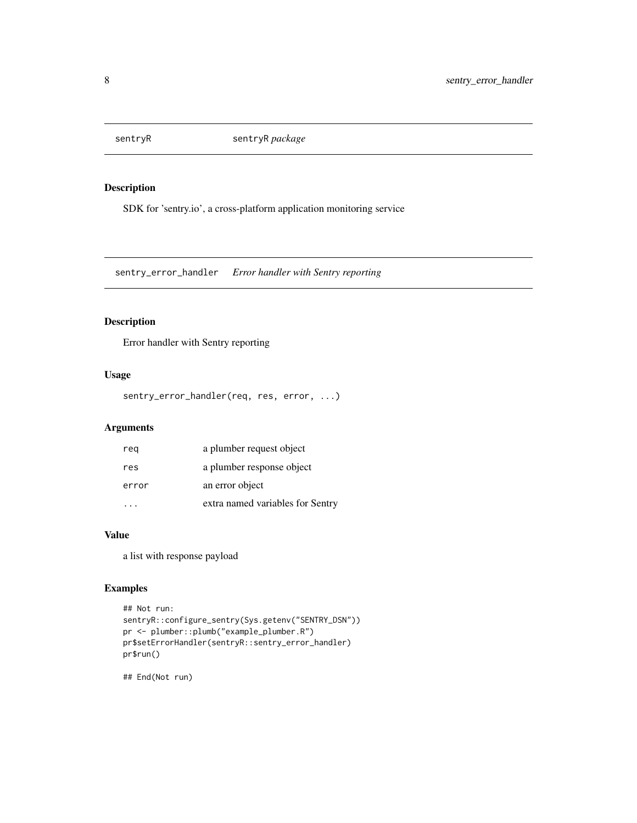<span id="page-7-0"></span>

# Description

SDK for 'sentry.io', a cross-platform application monitoring service

sentry\_error\_handler *Error handler with Sentry reporting*

#### Description

Error handler with Sentry reporting

# Usage

sentry\_error\_handler(req, res, error, ...)

#### Arguments

| reg   | a plumber request object         |
|-------|----------------------------------|
| res   | a plumber response object        |
| error | an error object                  |
|       | extra named variables for Sentry |

#### Value

a list with response payload

# Examples

```
## Not run:
sentryR::configure_sentry(Sys.getenv("SENTRY_DSN"))
pr <- plumber::plumb("example_plumber.R")
pr$setErrorHandler(sentryR::sentry_error_handler)
pr$run()
```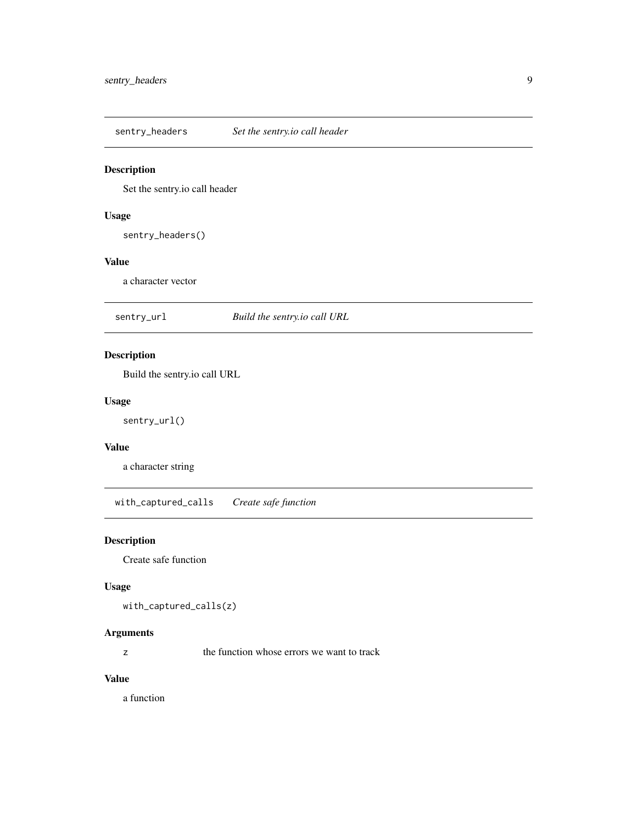<span id="page-8-0"></span>sentry\_headers *Set the sentry.io call header*

#### Description

Set the sentry.io call header

#### Usage

sentry\_headers()

# Value

a character vector

sentry\_url *Build the sentry.io call URL*

# Description

Build the sentry.io call URL

#### Usage

sentry\_url()

# Value

a character string

with\_captured\_calls *Create safe function*

# Description

Create safe function

#### Usage

with\_captured\_calls(z)

#### Arguments

z the function whose errors we want to track

#### Value

a function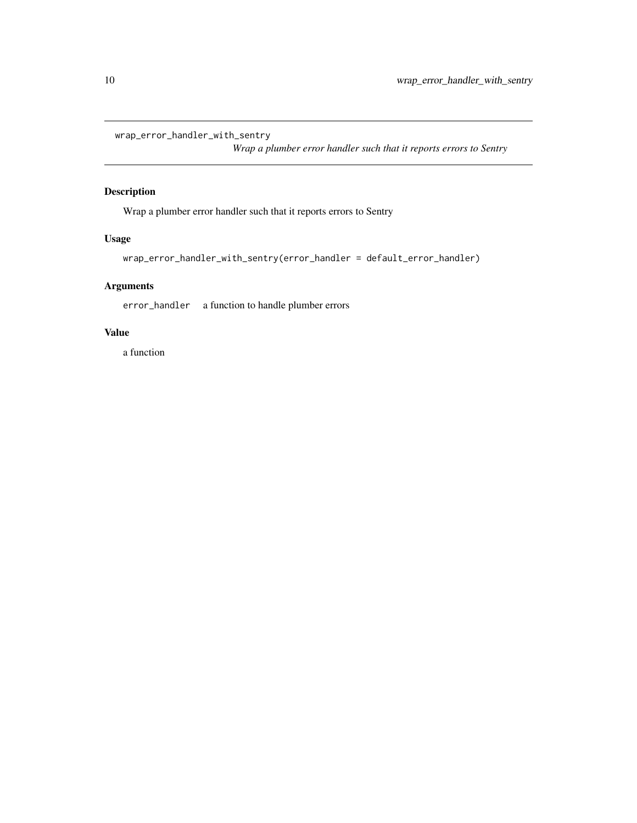<span id="page-9-0"></span>wrap\_error\_handler\_with\_sentry

*Wrap a plumber error handler such that it reports errors to Sentry*

# Description

Wrap a plumber error handler such that it reports errors to Sentry

# Usage

```
wrap_error_handler_with_sentry(error_handler = default_error_handler)
```
# Arguments

error\_handler a function to handle plumber errors

# Value

a function